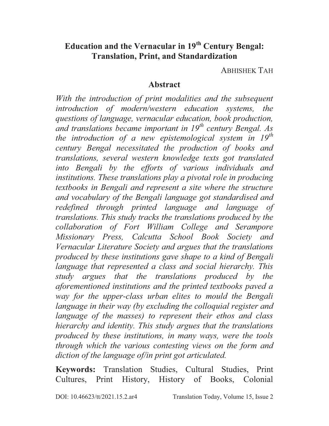# **Education and the Vernacular in 19th Century Bengal: Translation, Print, and Standardization**

ABHISHEK TAH

### **Abstract**

*With the introduction of print modalities and the subsequent introduction of modern/western education systems, the questions of language, vernacular education, book production, and translations became important in 19th century Bengal. As the introduction of a new epistemological system in 19th century Bengal necessitated the production of books and translations, several western knowledge texts got translated into Bengali by the efforts of various individuals and institutions. These translations play a pivotal role in producing textbooks in Bengali and represent a site where the structure and vocabulary of the Bengali language got standardised and redefined through printed language and language of translations. This study tracks the translations produced by the collaboration of Fort William College and Serampore Missionary Press, Calcutta School Book Society and Vernacular Literature Society and argues that the translations produced by these institutions gave shape to a kind of Bengali language that represented a class and social hierarchy. This study argues that the translations produced by the aforementioned institutions and the printed textbooks paved a way for the upper-class urban elites to mould the Bengali language in their way (by excluding the colloquial register and language of the masses) to represent their ethos and class hierarchy and identity. This study argues that the translations produced by these institutions, in many ways, were the tools through which the various contesting views on the form and diction of the language of/in print got articulated.* 

**Keywords:** Translation Studies, Cultural Studies, Print Cultures, Print History, History of Books, Colonial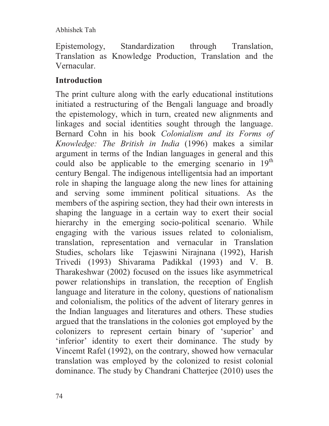Epistemology, Standardization through Translation, Translation as Knowledge Production, Translation and the Vernacular.

# **Introduction**

The print culture along with the early educational institutions initiated a restructuring of the Bengali language and broadly the epistemology, which in turn, created new alignments and linkages and social identities sought through the language. Bernard Cohn in his book *Colonialism and its Forms of Knowledge: The British in India* (1996) makes a similar argument in terms of the Indian languages in general and this could also be applicable to the emerging scenario in  $19<sup>th</sup>$ century Bengal. The indigenous intelligentsia had an important role in shaping the language along the new lines for attaining and serving some imminent political situations. As the members of the aspiring section, they had their own interests in shaping the language in a certain way to exert their social hierarchy in the emerging socio-political scenario. While engaging with the various issues related to colonialism, translation, representation and vernacular in Translation Studies, scholars like Tejaswini Nirajnana (1992), Harish Trivedi (1993) Shivarama Padikkal (1993) and V. B. Tharakeshwar (2002) focused on the issues like asymmetrical power relationships in translation, the reception of English language and literature in the colony, questions of nationalism and colonialism, the politics of the advent of literary genres in the Indian languages and literatures and others. These studies argued that the translations in the colonies got employed by the colonizers to represent certain binary of 'superior' and 'inferior' identity to exert their dominance. The study by Vincemt Rafel (1992), on the contrary, showed how vernacular translation was employed by the colonized to resist colonial dominance. The study by Chandrani Chatterjee (2010) uses the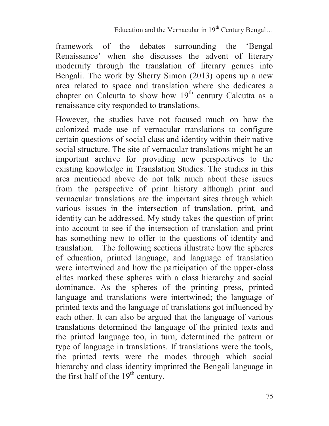framework of the debates surrounding the 'Bengal Renaissance' when she discusses the advent of literary modernity through the translation of literary genres into Bengali. The work by Sherry Simon (2013) opens up a new area related to space and translation where she dedicates a chapter on Calcutta to show how  $19<sup>th</sup>$  century Calcutta as a renaissance city responded to translations.

However, the studies have not focused much on how the colonized made use of vernacular translations to configure certain questions of social class and identity within their native social structure. The site of vernacular translations might be an important archive for providing new perspectives to the existing knowledge in Translation Studies. The studies in this area mentioned above do not talk much about these issues from the perspective of print history although print and vernacular translations are the important sites through which various issues in the intersection of translation, print, and identity can be addressed. My study takes the question of print into account to see if the intersection of translation and print has something new to offer to the questions of identity and translation. The following sections illustrate how the spheres of education, printed language, and language of translation were intertwined and how the participation of the upper-class elites marked these spheres with a class hierarchy and social dominance. As the spheres of the printing press, printed language and translations were intertwined; the language of printed texts and the language of translations got influenced by each other. It can also be argued that the language of various translations determined the language of the printed texts and the printed language too, in turn, determined the pattern or type of language in translations. If translations were the tools, the printed texts were the modes through which social hierarchy and class identity imprinted the Bengali language in the first half of the  $19<sup>th</sup>$  century.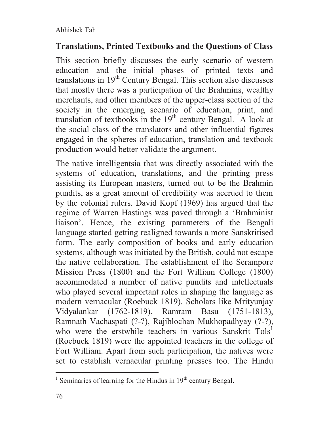# **Translations, Printed Textbooks and the Questions of Class**

This section briefly discusses the early scenario of western education and the initial phases of printed texts and translations in  $19<sup>th</sup>$  Century Bengal. This section also discusses that mostly there was a participation of the Brahmins, wealthy merchants, and other members of the upper-class section of the society in the emerging scenario of education, print, and translation of textbooks in the  $19<sup>th</sup>$  century Bengal. A look at the social class of the translators and other influential figures engaged in the spheres of education, translation and textbook production would better validate the argument.

The native intelligentsia that was directly associated with the systems of education, translations, and the printing press assisting its European masters, turned out to be the Brahmin pundits, as a great amount of credibility was accrued to them by the colonial rulers. David Kopf (1969) has argued that the regime of Warren Hastings was paved through a 'Brahminist liaison'. Hence, the existing parameters of the Bengali language started getting realigned towards a more Sanskritised form. The early composition of books and early education systems, although was initiated by the British, could not escape the native collaboration. The establishment of the Serampore Mission Press (1800) and the Fort William College (1800) accommodated a number of native pundits and intellectuals who played several important roles in shaping the language as modern vernacular (Roebuck 1819). Scholars like Mrityunjay Vidyalankar (1762-1819), Ramram Basu (1751-1813), Ramnath Vachaspati (?-?), Rajiblochan Mukhopadhyay (?-?), who were the erstwhile teachers in various Sanskrit Tols<sup>1</sup> (Roebuck 1819) were the appointed teachers in the college of Fort William. Apart from such participation, the natives were set to establish vernacular printing presses too. The Hindu

 $\overline{a}$ 

<sup>&</sup>lt;sup>1</sup> Seminaries of learning for the Hindus in  $19<sup>th</sup>$  century Bengal.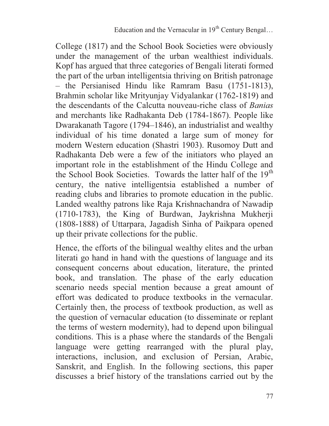College (1817) and the School Book Societies were obviously under the management of the urban wealthiest individuals. Kopf has argued that three categories of Bengali literati formed the part of the urban intelligentsia thriving on British patronage – the Persianised Hindu like Ramram Basu (1751-1813), Brahmin scholar like Mrityunjay Vidyalankar (1762-1819) and the descendants of the Calcutta nouveau-riche class of *Banias* and merchants like Radhakanta Deb (1784-1867). People like Dwarakanath Tagore (1794–1846), an industrialist and wealthy individual of his time donated a large sum of money for modern Western education (Shastri 1903). Rusomoy Dutt and Radhakanta Deb were a few of the initiators who played an important role in the establishment of the Hindu College and the School Book Societies. Towards the latter half of the 19<sup>th</sup> century, the native intelligentsia established a number of reading clubs and libraries to promote education in the public. Landed wealthy patrons like Raja Krishnachandra of Nawadip (1710-1783), the King of Burdwan, Jaykrishna Mukherji (1808-1888) of Uttarpara, Jagadish Sinha of Paikpara opened up their private collections for the public.

Hence, the efforts of the bilingual wealthy elites and the urban literati go hand in hand with the questions of language and its consequent concerns about education, literature, the printed book, and translation. The phase of the early education scenario needs special mention because a great amount of effort was dedicated to produce textbooks in the vernacular. Certainly then, the process of textbook production, as well as the question of vernacular education (to disseminate or replant the terms of western modernity), had to depend upon bilingual conditions. This is a phase where the standards of the Bengali language were getting rearranged with the plural play, interactions, inclusion, and exclusion of Persian, Arabic, Sanskrit, and English. In the following sections, this paper discusses a brief history of the translations carried out by the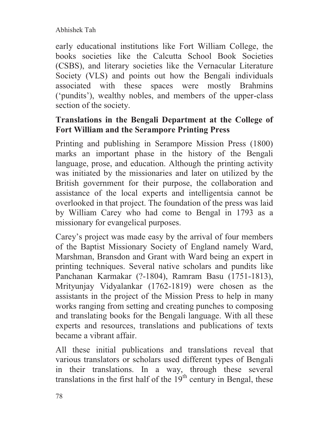early educational institutions like Fort William College, the books societies like the Calcutta School Book Societies (CSBS), and literary societies like the Vernacular Literature Society (VLS) and points out how the Bengali individuals associated with these spaces were mostly Brahmins ('pundits'), wealthy nobles, and members of the upper-class section of the society.

# **Translations in the Bengali Department at the College of Fort William and the Serampore Printing Press**

Printing and publishing in Serampore Mission Press (1800) marks an important phase in the history of the Bengali language, prose, and education. Although the printing activity was initiated by the missionaries and later on utilized by the British government for their purpose, the collaboration and assistance of the local experts and intelligentsia cannot be overlooked in that project. The foundation of the press was laid by William Carey who had come to Bengal in 1793 as a missionary for evangelical purposes.

Carey's project was made easy by the arrival of four members of the Baptist Missionary Society of England namely Ward, Marshman, Bransdon and Grant with Ward being an expert in printing techniques. Several native scholars and pundits like Panchanan Karmakar (?-1804), Ramram Basu (1751-1813), Mrityunjay Vidyalankar (1762-1819) were chosen as the assistants in the project of the Mission Press to help in many works ranging from setting and creating punches to composing and translating books for the Bengali language. With all these experts and resources, translations and publications of texts became a vibrant affair.

All these initial publications and translations reveal that various translators or scholars used different types of Bengali in their translations. In a way, through these several translations in the first half of the  $19<sup>th</sup>$  century in Bengal, these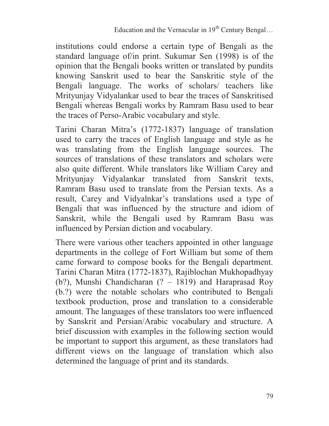institutions could endorse a certain type of Bengali as the standard language of/in print. Sukumar Sen (1998) is of the opinion that the Bengali books written or translated by pundits knowing Sanskrit used to bear the Sanskritic style of the Bengali language. The works of scholars/ teachers like Mrityunjay Vidyalankar used to bear the traces of Sanskritised Bengali whereas Bengali works by Ramram Basu used to bear the traces of Perso-Arabic vocabulary and style.

Tarini Charan Mitra's (1772-1837) language of translation used to carry the traces of English language and style as he was translating from the English language sources. The sources of translations of these translators and scholars were also quite different. While translators like William Carey and Mrityunjay Vidyalankar translated from Sanskrit texts, Ramram Basu used to translate from the Persian texts. As a result, Carey and Vidyalnkar's translations used a type of Bengali that was influenced by the structure and idiom of Sanskrit, while the Bengali used by Ramram Basu was influenced by Persian diction and vocabulary.

There were various other teachers appointed in other language departments in the college of Fort William but some of them came forward to compose books for the Bengali department. Tarini Charan Mitra (1772-1837), Rajiblochan Mukhopadhyay (b?), Munshi Chandicharan (? – 1819) and Haraprasad Roy (b.?) were the notable scholars who contributed to Bengali textbook production, prose and translation to a considerable amount. The languages of these translators too were influenced by Sanskrit and Persian/Arabic vocabulary and structure. A brief discussion with examples in the following section would be important to support this argument, as these translators had different views on the language of translation which also determined the language of print and its standards.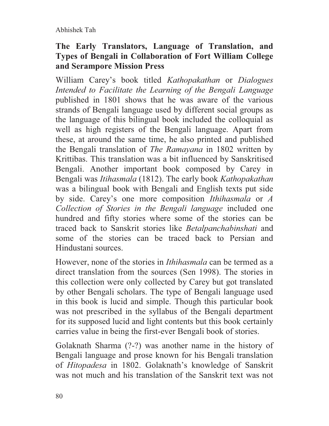# **The Early Translators, Language of Translation, and Types of Bengali in Collaboration of Fort William College and Serampore Mission Press**

William Carey's book titled *Kathopakathan* or *Dialogues Intended to Facilitate the Learning of the Bengali Language*  published in 1801 shows that he was aware of the various strands of Bengali language used by different social groups as the language of this bilingual book included the colloquial as well as high registers of the Bengali language. Apart from these, at around the same time, he also printed and published the Bengali translation of *The Ramayana* in 1802 written by Krittibas. This translation was a bit influenced by Sanskritised Bengali. Another important book composed by Carey in Bengali was *Itihasmala* (1812). The early book *Kathopakathan*  was a bilingual book with Bengali and English texts put side by side. Carey's one more composition *Ithihasmala* or *A Collection of Stories in the Bengali language* included one hundred and fifty stories where some of the stories can be traced back to Sanskrit stories like *Betalpanchabinshati* and some of the stories can be traced back to Persian and Hindustani sources.

However, none of the stories in *Ithihasmala* can be termed as a direct translation from the sources (Sen 1998). The stories in this collection were only collected by Carey but got translated by other Bengali scholars. The type of Bengali language used in this book is lucid and simple. Though this particular book was not prescribed in the syllabus of the Bengali department for its supposed lucid and light contents but this book certainly carries value in being the first-ever Bengali book of stories.

Golaknath Sharma (?-?) was another name in the history of Bengali language and prose known for his Bengali translation of *Hitopadesa* in 1802. Golaknath's knowledge of Sanskrit was not much and his translation of the Sanskrit text was not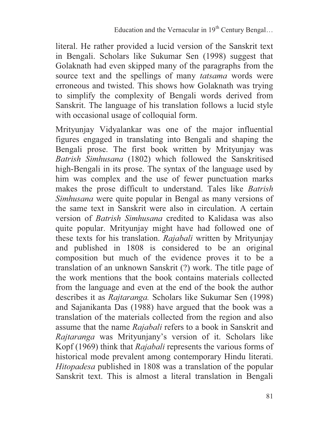literal. He rather provided a lucid version of the Sanskrit text in Bengali. Scholars like Sukumar Sen (1998) suggest that Golaknath had even skipped many of the paragraphs from the source text and the spellings of many *tatsama* words were erroneous and twisted. This shows how Golaknath was trying to simplify the complexity of Bengali words derived from Sanskrit. The language of his translation follows a lucid style with occasional usage of colloquial form.

Mrityunjay Vidyalankar was one of the major influential figures engaged in translating into Bengali and shaping the Bengali prose. The first book written by Mrityunjay was *Batrish Simhusana* (1802) which followed the Sanskritised high-Bengali in its prose. The syntax of the language used by him was complex and the use of fewer punctuation marks makes the prose difficult to understand. Tales like *Batrish Simhusana* were quite popular in Bengal as many versions of the same text in Sanskrit were also in circulation. A certain version of *Batrish Simhusana* credited to Kalidasa was also quite popular. Mrityunjay might have had followed one of these texts for his translation. *Rajabali* written by Mrityunjay and published in 1808 is considered to be an original composition but much of the evidence proves it to be a translation of an unknown Sanskrit (?) work. The title page of the work mentions that the book contains materials collected from the language and even at the end of the book the author describes it as *Rajtaranga.* Scholars like Sukumar Sen (1998) and Sajanikanta Das (1988) have argued that the book was a translation of the materials collected from the region and also assume that the name *Rajabali* refers to a book in Sanskrit and *Rajtaranga* was Mrityunjany's version of it. Scholars like Kopf (1969) think that *Rajabali* represents the various forms of historical mode prevalent among contemporary Hindu literati. *Hitopadesa* published in 1808 was a translation of the popular Sanskrit text. This is almost a literal translation in Bengali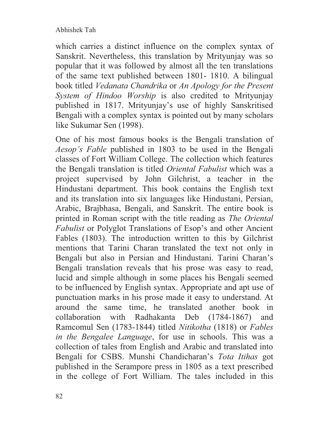which carries a distinct influence on the complex syntax of Sanskrit. Nevertheless, this translation by Mrityunjay was so popular that it was followed by almost all the ten translations of the same text published between 1801- 1810. A bilingual book titled *Vedanata Chandrika* or *An Apology for the Present System of Hindoo Worship* is also credited to Mrityunjay published in 1817. Mrityunjay's use of highly Sanskritised Bengali with a complex syntax is pointed out by many scholars like Sukumar Sen (1998).

One of his most famous books is the Bengali translation of *Aesop's Fable* published in 1803 to be used in the Bengali classes of Fort William College. The collection which features the Bengali translation is titled *Oriental Fabulist* which was a project supervised by John Gilchrist, a teacher in the Hindustani department. This book contains the English text and its translation into six languages like Hindustani, Persian, Arabic, Brajbhasa, Bengali, and Sanskrit. The entire book is printed in Roman script with the title reading as *The Oriental Fabulist* or Polyglot Translations of Esop's and other Ancient Fables (1803). The introduction written to this by Gilchrist mentions that Tarini Charan translated the text not only in Bengali but also in Persian and Hindustani. Tarini Charan's Bengali translation reveals that his prose was easy to read, lucid and simple although in some places his Bengali seemed to be influenced by English syntax. Appropriate and apt use of punctuation marks in his prose made it easy to understand. At around the same time, he translated another book in collaboration with Radhakanta Deb (1784-1867) and Ramcomul Sen (1783-1844) titled *Nitikotha* (1818) or *Fables in the Bengalee Language*, for use in schools. This was a collection of tales from English and Arabic and translated into Bengali for CSBS. Munshi Chandicharan's *Tota Itihas* got published in the Serampore press in 1805 as a text prescribed in the college of Fort William. The tales included in this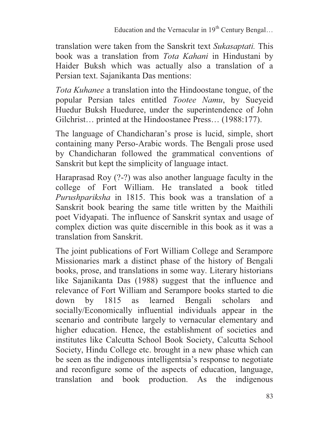translation were taken from the Sanskrit text *Sukasaptati.* This book was a translation from *Tota Kahani* in Hindustani by Haider Buksh which was actually also a translation of a Persian text. Sajanikanta Das mentions:

*Tota Kuhanee* a translation into the Hindoostane tongue, of the popular Persian tales entitled *Tootee Namu*, by Sueyeid Huedur Buksh Hueduree, under the superintendence of John Gilchrist... printed at the Hindoostanee Press... (1988:177).

The language of Chandicharan's prose is lucid, simple, short containing many Perso-Arabic words. The Bengali prose used by Chandicharan followed the grammatical conventions of Sanskrit but kept the simplicity of language intact.

Haraprasad Roy (?-?) was also another language faculty in the college of Fort William. He translated a book titled *Purushpariksha* in 1815. This book was a translation of a Sanskrit book bearing the same title written by the Maithili poet Vidyapati. The influence of Sanskrit syntax and usage of complex diction was quite discernible in this book as it was a translation from Sanskrit.

The joint publications of Fort William College and Serampore Missionaries mark a distinct phase of the history of Bengali books, prose, and translations in some way. Literary historians like Sajanikanta Das (1988) suggest that the influence and relevance of Fort William and Serampore books started to die down by 1815 as learned Bengali scholars and socially/Economically influential individuals appear in the scenario and contribute largely to vernacular elementary and higher education. Hence, the establishment of societies and institutes like Calcutta School Book Society, Calcutta School Society, Hindu College etc. brought in a new phase which can be seen as the indigenous intelligentsia's response to negotiate and reconfigure some of the aspects of education, language, translation and book production. As the indigenous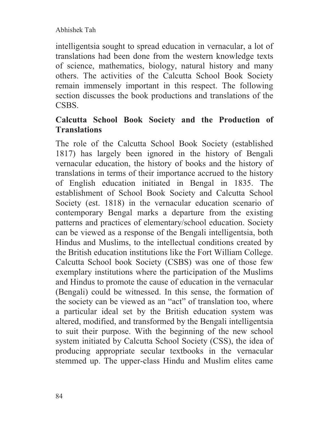intelligentsia sought to spread education in vernacular, a lot of translations had been done from the western knowledge texts of science, mathematics, biology, natural history and many others. The activities of the Calcutta School Book Society remain immensely important in this respect. The following section discusses the book productions and translations of the CSBS.

### **Calcutta School Book Society and the Production of Translations**

The role of the Calcutta School Book Society (established 1817) has largely been ignored in the history of Bengali vernacular education, the history of books and the history of translations in terms of their importance accrued to the history of English education initiated in Bengal in 1835. The establishment of School Book Society and Calcutta School Society (est. 1818) in the vernacular education scenario of contemporary Bengal marks a departure from the existing patterns and practices of elementary/school education. Society can be viewed as a response of the Bengali intelligentsia, both Hindus and Muslims, to the intellectual conditions created by the British education institutions like the Fort William College. Calcutta School book Society (CSBS) was one of those few exemplary institutions where the participation of the Muslims and Hindus to promote the cause of education in the vernacular (Bengali) could be witnessed. In this sense, the formation of the society can be viewed as an "act" of translation too, where a particular ideal set by the British education system was altered, modified, and transformed by the Bengali intelligentsia to suit their purpose. With the beginning of the new school system initiated by Calcutta School Society (CSS), the idea of producing appropriate secular textbooks in the vernacular stemmed up. The upper-class Hindu and Muslim elites came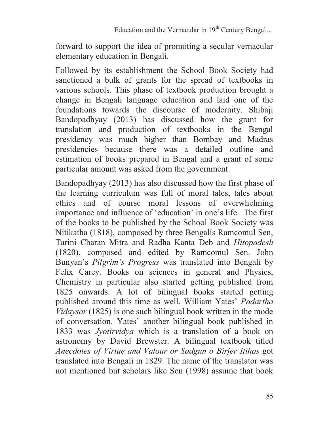forward to support the idea of promoting a secular vernacular elementary education in Bengali.

Followed by its establishment the School Book Society had sanctioned a bulk of grants for the spread of textbooks in various schools. This phase of textbook production brought a change in Bengali language education and laid one of the foundations towards the discourse of modernity. Shibaji Bandopadhyay (2013) has discussed how the grant for translation and production of textbooks in the Bengal presidency was much higher than Bombay and Madras presidencies because there was a detailed outline and estimation of books prepared in Bengal and a grant of some particular amount was asked from the government.

Bandopadhyay (2013) has also discussed how the first phase of the learning curriculum was full of moral tales, tales about ethics and of course moral lessons of overwhelming importance and influence of 'education' in one's life. The first of the books to be published by the School Book Society was Nitikatha (1818), composed by three Bengalis Ramcomul Sen, Tarini Charan Mitra and Radha Kanta Deb and *Hitopadesh*  (1820), composed and edited by Ramcomul Sen. John Bunyan's *Pilgrim's Progress* was translated into Bengali by Felix Carey. Books on sciences in general and Physics, Chemistry in particular also started getting published from 1825 onwards. A lot of bilingual books started getting published around this time as well. William Yates' *Padartha Vidaysar* (1825) is one such bilingual book written in the mode of conversation. Yates' another bilingual book published in 1833 was *Jyotirvidya* which is a translation of a book on astronomy by David Brewster. A bilingual textbook titled *Anecdotes of Virtue and Valour or Sadgun o Birjer Itihas* got translated into Bengali in 1829. The name of the translator was not mentioned but scholars like Sen (1998) assume that book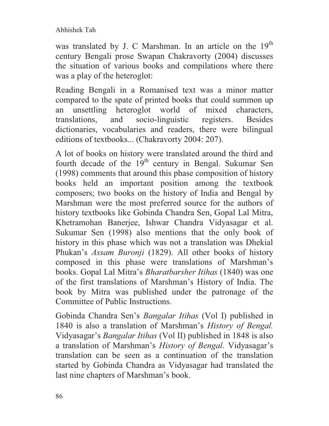was translated by J. C Marshman. In an article on the  $19<sup>th</sup>$ century Bengali prose Swapan Chakravorty (2004) discusses the situation of various books and compilations where there was a play of the heteroglot:

Reading Bengali in a Romanised text was a minor matter compared to the spate of printed books that could summon up an unsettling heteroglot world of mixed characters, translations, and socio-linguistic registers. Besides dictionaries, vocabularies and readers, there were bilingual editions of textbooks... (Chakravorty 2004: 207).

A lot of books on history were translated around the third and fourth decade of the  $19<sup>th</sup>$  century in Bengal. Sukumar Sen (1998) comments that around this phase composition of history books held an important position among the textbook composers; two books on the history of India and Bengal by Marshman were the most preferred source for the authors of history textbooks like Gobinda Chandra Sen, Gopal Lal Mitra, Khetramohan Banerjee, Ishwar Chandra Vidyasagar et al. Sukumar Sen (1998) also mentions that the only book of history in this phase which was not a translation was Dhekial Phukan's *Assam Buronji* (1829). All other books of history composed in this phase were translations of Marshman's books. Gopal Lal Mitra's *Bharatbarsher Itihas* (1840) was one of the first translations of Marshman's History of India. The book by Mitra was published under the patronage of the Committee of Public Instructions.

Gobinda Chandra Sen's *Bangalar Itihas* (Vol I) published in 1840 is also a translation of Marshman's *History of Bengal.*  Vidyasagar's *Bangalar Itihas* (Vol II) published in 1848 is also a translation of Marshman's *History of Bengal*. Vidyasagar's translation can be seen as a continuation of the translation started by Gobinda Chandra as Vidyasagar had translated the last nine chapters of Marshman's book.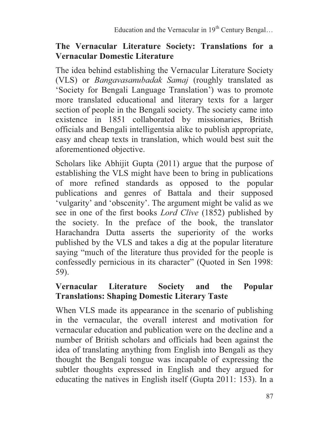### **The Vernacular Literature Society: Translations for a Vernacular Domestic Literature**

The idea behind establishing the Vernacular Literature Society (VLS) or *Bangavasanubadak Samaj* (roughly translated as 'Society for Bengali Language Translation') was to promote more translated educational and literary texts for a larger section of people in the Bengali society. The society came into existence in 1851 collaborated by missionaries, British officials and Bengali intelligentsia alike to publish appropriate, easy and cheap texts in translation, which would best suit the aforementioned objective.

Scholars like Abhijit Gupta (2011) argue that the purpose of establishing the VLS might have been to bring in publications of more refined standards as opposed to the popular publications and genres of Battala and their supposed 'vulgarity' and 'obscenity'. The argument might be valid as we see in one of the first books *Lord Clive* (1852) published by the society. In the preface of the book, the translator Harachandra Dutta asserts the superiority of the works published by the VLS and takes a dig at the popular literature saying "much of the literature thus provided for the people is confessedly pernicious in its character" (Quoted in Sen 1998: 59).

# **Vernacular Literature Society and the Popular Translations: Shaping Domestic Literary Taste**

When VLS made its appearance in the scenario of publishing in the vernacular, the overall interest and motivation for vernacular education and publication were on the decline and a number of British scholars and officials had been against the idea of translating anything from English into Bengali as they thought the Bengali tongue was incapable of expressing the subtler thoughts expressed in English and they argued for educating the natives in English itself (Gupta 2011: 153). In a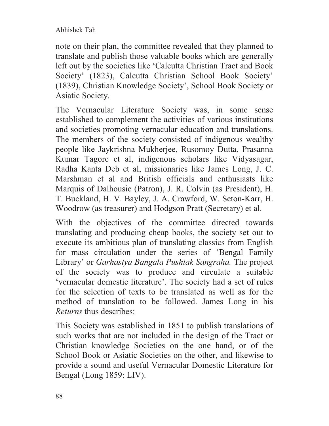note on their plan, the committee revealed that they planned to translate and publish those valuable books which are generally left out by the societies like 'Calcutta Christian Tract and Book Society' (1823), Calcutta Christian School Book Society' (1839), Christian Knowledge Society', School Book Society or Asiatic Society.

The Vernacular Literature Society was, in some sense established to complement the activities of various institutions and societies promoting vernacular education and translations. The members of the society consisted of indigenous wealthy people like Jaykrishna Mukherjee, Rusomoy Dutta, Prasanna Kumar Tagore et al, indigenous scholars like Vidyasagar, Radha Kanta Deb et al, missionaries like James Long, J. C. Marshman et al and British officials and enthusiasts like Marquis of Dalhousie (Patron), J. R. Colvin (as President), H. T. Buckland, H. V. Bayley, J. A. Crawford, W. Seton-Karr, H. Woodrow (as treasurer) and Hodgson Pratt (Secretary) et al.

With the objectives of the committee directed towards translating and producing cheap books, the society set out to execute its ambitious plan of translating classics from English for mass circulation under the series of 'Bengal Family Library' or *Garhastya Bangala Pushtak Sangraha.* The project of the society was to produce and circulate a suitable 'vernacular domestic literature'. The society had a set of rules for the selection of texts to be translated as well as for the method of translation to be followed. James Long in his *Returns* thus describes:

This Society was established in 1851 to publish translations of such works that are not included in the design of the Tract or Christian knowledge Societies on the one hand, or of the School Book or Asiatic Societies on the other, and likewise to provide a sound and useful Vernacular Domestic Literature for Bengal (Long 1859: LIV).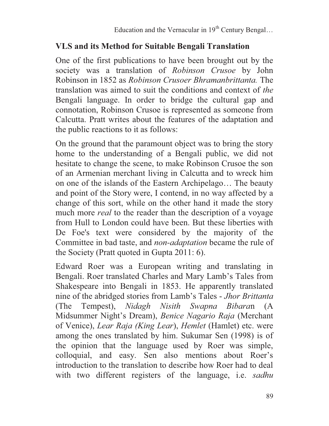# **VLS and its Method for Suitable Bengali Translation**

One of the first publications to have been brought out by the society was a translation of *Robinson Crusoe* by John Robinson in 1852 as *Robinson Crusoer Bhramanbrittanta.* The translation was aimed to suit the conditions and context of *the*  Bengali language. In order to bridge the cultural gap and connotation, Robinson Crusoe is represented as someone from Calcutta. Pratt writes about the features of the adaptation and the public reactions to it as follows:

On the ground that the paramount object was to bring the story home to the understanding of a Bengali public, we did not hesitate to change the scene, to make Robinson Crusoe the son of an Armenian merchant living in Calcutta and to wreck him on one of the islands of the Eastern Archipelago… The beauty and point of the Story were, I contend, in no way affected by a change of this sort, while on the other hand it made the story much more *real* to the reader than the description of a voyage from Hull to London could have been. But these liberties with De Foe's text were considered by the majority of the Committee in bad taste, and *non-adaptation* became the rule of the Society (Pratt quoted in Gupta 2011: 6).

Edward Roer was a European writing and translating in Bengali. Roer translated Charles and Mary Lamb's Tales from Shakespeare into Bengali in 1853. He apparently translated nine of the abridged stories from Lamb's Tales - *Jhor Brittanta* (The Tempest), *Nidagh Nisith Swapna Bibara*n (A Midsummer Night's Dream), *Benice Nagario Raja* (Merchant of Venice), *Lear Raja (King Lear*), *Hemlet* (Hamlet) etc. were among the ones translated by him. Sukumar Sen (1998) is of the opinion that the language used by Roer was simple, colloquial, and easy. Sen also mentions about Roer's introduction to the translation to describe how Roer had to deal with two different registers of the language, i.e. *sadhu*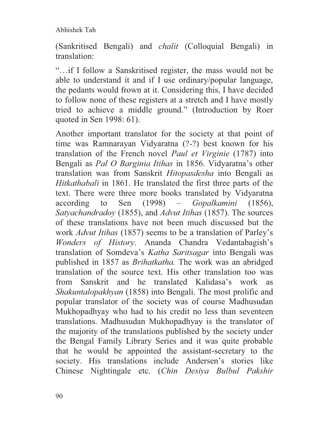(Sankritised Bengali) and *chalit* (Colloquial Bengali) in translation:

"…if I follow a Sanskritised register, the mass would not be able to understand it and if I use ordinary/popular language, the pedants would frown at it. Considering this, I have decided to follow none of these registers at a stretch and I have mostly tried to achieve a middle ground." (Introduction by Roer quoted in Sen 1998: 61).

Another important translator for the society at that point of time was Ramnarayan Vidyaratna (?-?) best known for his translation of the French novel *Paul et Virginie* (1787) into Bengali as *Pal O Barginia Itihas* in 1856. Vidyaratna's other translation was from Sanskrit *Hitopasdesha* into Bengali as *Hitkathabali* in 1861. He translated the first three parts of the text. There were three more books translated by Vidyaratna according to Sen (1998) – *Gopalkamini* (1856), *Satyachandradoy* (1855), and *Advut Itihas* (1857). The sources of these translations have not been much discussed but the work *Advut Itihas* (1857) seems to be a translation of Parley's *Wonders of History*. Ananda Chandra Vedantabagish's translation of Somdeva's *Katha Saritsagar* into Bengali was published in 1857 as *Brihatkatha.* The work was an abridged translation of the source text. His other translation too was from Sanskrit and he translated Kalidasa's work as *Shakuntalopakhyan* (1858) into Bengali. The most prolific and popular translator of the society was of course Madhusudan Mukhopadhyay who had to his credit no less than seventeen translations. Madhusudan Mukhopadhyay is the translator of the majority of the translations published by the society under the Bengal Family Library Series and it was quite probable that he would be appointed the assistant-secretary to the society. His translations include Andersen's stories like Chinese Nightingale etc. (*Chin Desiya Bulbul Pakshir*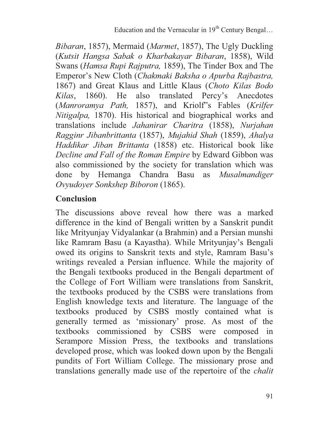*Bibaran*, 1857), Mermaid (*Marmet*, 1857), The Ugly Duckling (*Kutsit Hangsa Sabak o Kharbakayar Bibaran*, 1858), Wild Swans (*Hamsa Rupi Rajputra,* 1859), The Tinder Box and The Emperor's New Cloth (*Chakmaki Baksha o Apurba Rajbastra,*  1867) and Great Klaus and Little Klaus (*Choto Kilas Bodo Kilas*, 1860). He also translated Percy's Anecdotes (*Manroramya Path,* 1857), and Kriolf"s Fables (*Krilfer Nitigalpa,* 1870). His historical and biographical works and translations include *Jahanirar Charitra* (1858), *Nurjahan Ragginr Jibanbrittanta* (1857), *Mujahid Shah* (1859), *Ahalya Haddikar Jiban Brittanta* (1858) etc. Historical book like *Decline and Fall of the Roman Empire* by Edward Gibbon was also commissioned by the society for translation which was done by Hemanga Chandra Basu as *Musalmandiger Ovyudoyer Sonkshep Biboron* (1865).

# **Conclusion**

The discussions above reveal how there was a marked difference in the kind of Bengali written by a Sanskrit pundit like Mrityunjay Vidyalankar (a Brahmin) and a Persian munshi like Ramram Basu (a Kayastha). While Mrityunjay's Bengali owed its origins to Sanskrit texts and style, Ramram Basu's writings revealed a Persian influence. While the majority of the Bengali textbooks produced in the Bengali department of the College of Fort William were translations from Sanskrit, the textbooks produced by the CSBS were translations from English knowledge texts and literature. The language of the textbooks produced by CSBS mostly contained what is generally termed as 'missionary' prose. As most of the textbooks commissioned by CSBS were composed in Serampore Mission Press, the textbooks and translations developed prose, which was looked down upon by the Bengali pundits of Fort William College. The missionary prose and translations generally made use of the repertoire of the *chalit*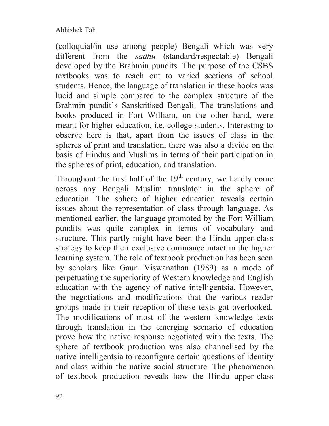(colloquial/in use among people) Bengali which was very different from the *sadhu* (standard/respectable) Bengali developed by the Brahmin pundits. The purpose of the CSBS textbooks was to reach out to varied sections of school students. Hence, the language of translation in these books was lucid and simple compared to the complex structure of the Brahmin pundit's Sanskritised Bengali. The translations and books produced in Fort William, on the other hand, were meant for higher education, i.e. college students. Interesting to observe here is that, apart from the issues of class in the spheres of print and translation, there was also a divide on the basis of Hindus and Muslims in terms of their participation in the spheres of print, education, and translation.

Throughout the first half of the  $19<sup>th</sup>$  century, we hardly come across any Bengali Muslim translator in the sphere of education. The sphere of higher education reveals certain issues about the representation of class through language. As mentioned earlier, the language promoted by the Fort William pundits was quite complex in terms of vocabulary and structure. This partly might have been the Hindu upper-class strategy to keep their exclusive dominance intact in the higher learning system. The role of textbook production has been seen by scholars like Gauri Viswanathan (1989) as a mode of perpetuating the superiority of Western knowledge and English education with the agency of native intelligentsia. However, the negotiations and modifications that the various reader groups made in their reception of these texts got overlooked. The modifications of most of the western knowledge texts through translation in the emerging scenario of education prove how the native response negotiated with the texts. The sphere of textbook production was also channelised by the native intelligentsia to reconfigure certain questions of identity and class within the native social structure. The phenomenon of textbook production reveals how the Hindu upper-class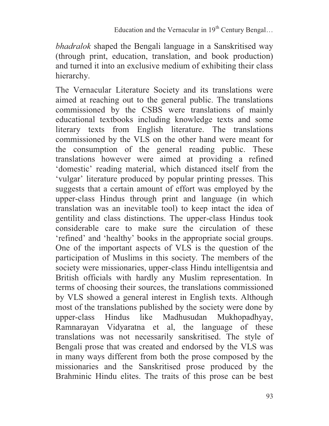*bhadralok* shaped the Bengali language in a Sanskritised way (through print, education, translation, and book production) and turned it into an exclusive medium of exhibiting their class hierarchy.

The Vernacular Literature Society and its translations were aimed at reaching out to the general public. The translations commissioned by the CSBS were translations of mainly educational textbooks including knowledge texts and some literary texts from English literature. The translations commissioned by the VLS on the other hand were meant for the consumption of the general reading public. These translations however were aimed at providing a refined 'domestic' reading material, which distanced itself from the 'vulgar' literature produced by popular printing presses. This suggests that a certain amount of effort was employed by the upper-class Hindus through print and language (in which translation was an inevitable tool) to keep intact the idea of gentility and class distinctions. The upper-class Hindus took considerable care to make sure the circulation of these 'refined' and 'healthy' books in the appropriate social groups. One of the important aspects of VLS is the question of the participation of Muslims in this society. The members of the society were missionaries, upper-class Hindu intelligentsia and British officials with hardly any Muslim representation. In terms of choosing their sources, the translations commissioned by VLS showed a general interest in English texts. Although most of the translations published by the society were done by upper-class Hindus like Madhusudan Mukhopadhyay, Ramnarayan Vidyaratna et al, the language of these translations was not necessarily sanskritised. The style of Bengali prose that was created and endorsed by the VLS was in many ways different from both the prose composed by the missionaries and the Sanskritised prose produced by the Brahminic Hindu elites. The traits of this prose can be best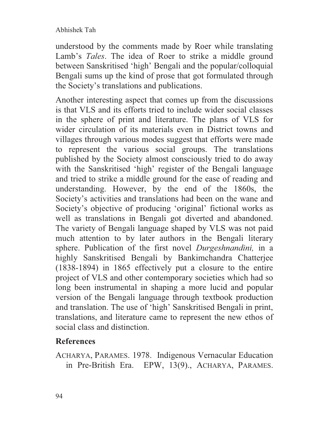understood by the comments made by Roer while translating Lamb's *Tales*. The idea of Roer to strike a middle ground between Sanskritised 'high' Bengali and the popular/colloquial Bengali sums up the kind of prose that got formulated through the Society's translations and publications.

Another interesting aspect that comes up from the discussions is that VLS and its efforts tried to include wider social classes in the sphere of print and literature. The plans of VLS for wider circulation of its materials even in District towns and villages through various modes suggest that efforts were made to represent the various social groups. The translations published by the Society almost consciously tried to do away with the Sanskritised 'high' register of the Bengali language and tried to strike a middle ground for the ease of reading and understanding. However, by the end of the 1860s, the Society's activities and translations had been on the wane and Society's objective of producing 'original' fictional works as well as translations in Bengali got diverted and abandoned. The variety of Bengali language shaped by VLS was not paid much attention to by later authors in the Bengali literary sphere. Publication of the first novel *Durgeshnandini,* in a highly Sanskritised Bengali by Bankimchandra Chatterjee (1838-1894) in 1865 effectively put a closure to the entire project of VLS and other contemporary societies which had so long been instrumental in shaping a more lucid and popular version of the Bengali language through textbook production and translation. The use of 'high' Sanskritised Bengali in print, translations, and literature came to represent the new ethos of social class and distinction.

# **References**

ACHARYA, PARAMES. 1978. Indigenous Vernacular Education in Pre-British Era. EPW, 13(9)., ACHARYA, PARAMES.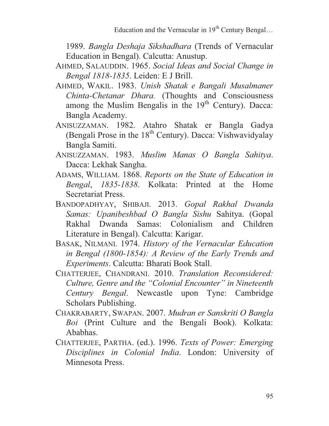1989. *Bangla Deshaja Sikshadhara* (Trends of Vernacular Education in Bengal). Calcutta: Anustup.

- AHMED, SALAUDDIN. 1965. *Social Ideas and Social Change in Bengal 1818-1835*. Leiden: E J Brill.
- AHMED, WAKIL. 1983. *Unish Shatak e Bangali Musalmaner Chinta-Chetanar Dhara.* (Thoughts and Consciousness among the Muslim Bengalis in the  $19<sup>th</sup>$  Century). Dacca: Bangla Academy.
- ANISUZZAMAN. 1982. Atahro Shatak er Bangla Gadya (Bengali Prose in the  $18<sup>th</sup>$  Century). Dacca: Vishwavidyalay Bangla Samiti.
- ANISUZZAMAN. 1983. *Muslim Manas O Bangla Sahitya*. Dacca: Lekhak Sangha.
- ADAMS, WILLIAM. 1868. *Reports on the State of Education in Bengal*, *1835-1838*. Kolkata: Printed at the Home Secretariat Press.
- BANDOPADHYAY, SHIBAJI. 2013. *Gopal Rakhal Dwanda Samas: Upanibeshbad O Bangla Sishu* Sahitya. (Gopal Rakhal Dwanda Samas: Colonialism and Children Literature in Bengal). Calcutta: Karigar.
- BASAK, NILMANI. 1974. *History of the Vernacular Education in Bengal (1800-1854): A Review of the Early Trends and Experiments*. Calcutta: Bharati Book Stall.
- CHATTERJEE, CHANDRANI. 2010. *Translation Reconsidered: Culture, Genre and the "Colonial Encounter" in Nineteenth Century Bengal*. Newcastle upon Tyne: Cambridge Scholars Publishing.
- CHAKRABARTY, SWAPAN. 2007. *Mudran er Sanskriti O Bangla Boi* (Print Culture and the Bengali Book). Kolkata: Ababhas.
- CHATTERJEE, PARTHA. (ed.). 1996. *Texts of Power: Emerging Disciplines in Colonial India*. London: University of Minnesota Press.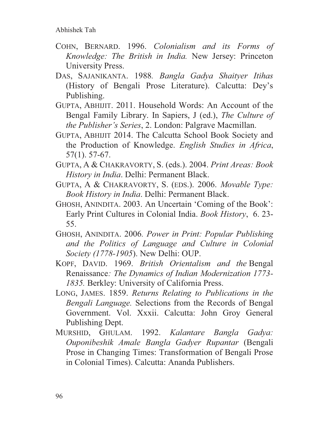- COHN, BERNARD. 1996. *Colonialism and its Forms of Knowledge: The British in India.* New Jersey: Princeton University Press.
- DAS, SAJANIKANTA. 1988*. Bangla Gadya Shaityer Itihas*  (History of Bengali Prose Literature). Calcutta: Dey's Publishing.
- GUPTA, ABHIJIT. 2011. Household Words: An Account of the Bengal Family Library. In Sapiers, J (ed.), *The Culture of the Publisher's Series*, 2. London: Palgrave Macmillan.
- GUPTA, ABHIJIT 2014. The Calcutta School Book Society and the Production of Knowledge. *English Studies in Africa*, 57(1). 57-67.
- GUPTA, A & CHAKRAVORTY, S. (eds.). 2004. *Print Areas: Book History in India*. Delhi: Permanent Black.
- GUPTA, A & CHAKRAVORTY, S. (EDS.). 2006. *Movable Type: Book History in India*. Delhi: Permanent Black.
- GHOSH, ANINDITA. 2003. An Uncertain 'Coming of the Book': Early Print Cultures in Colonial India. *Book History*, 6. 23- 55.
- GHOSH, ANINDITA. 2006*. Power in Print: Popular Publishing and the Politics of Language and Culture in Colonial Society (1778-1905*). New Delhi: OUP.
- KOPF, DAVID. 1969. *British Orientalism and the* Bengal Renaissance*: The Dynamics of Indian Modernization 1773- 1835.* Berkley: University of California Press.
- LONG, JAMES. 1859. *Returns Relating to Publications in the Bengali Language.* Selections from the Records of Bengal Government. Vol. Xxxii. Calcutta: John Groy General Publishing Dept.
- MURSHID, GHULAM. 1992. *Kalantare Bangla Gadya: Ouponibeshik Amale Bangla Gadyer Rupantar* (Bengali Prose in Changing Times: Transformation of Bengali Prose in Colonial Times). Calcutta: Ananda Publishers.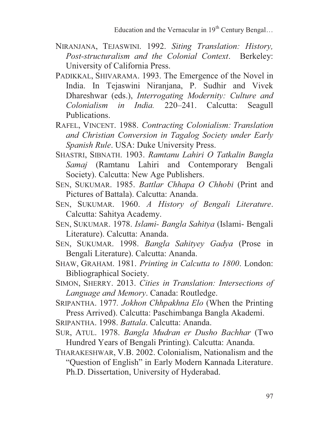- NIRANJANA, TEJASWINI. 1992. *Siting Translation: History, Post-structuralism and the Colonial Context*. Berkeley: University of California Press.
- PADIKKAL, SHIVARAMA. 1993. The Emergence of the Novel in India. In Tejaswini Niranjana, P. Sudhir and Vivek Dhareshwar (eds.), *Interrogating Modernity: Culture and Colonialism in India.* 220–241. Calcutta: Seagull Publications.
- RAFEL, VINCENT. 1988. *Contracting Colonialism: Translation and Christian Conversion in Tagalog Society under Early Spanish Rule*. USA: Duke University Press.
- SHASTRI, SIBNATH. 1903. *Ramtanu Lahiri O Tatkalin Bangla Samaj* (Ramtanu Lahiri and Contemporary Bengali Society). Calcutta: New Age Publishers.
- SEN, SUKUMAR. 1985. *Battlar Chhapa O Chhobi* (Print and Pictures of Battala). Calcutta: Ananda.
- SEN, SUKUMAR. 1960. *A History of Bengali Literature*. Calcutta: Sahitya Academy.
- SEN, SUKUMAR. 1978. *Islami- Bangla Sahitya* (Islami- Bengali Literature). Calcutta: Ananda.
- SEN, SUKUMAR. 1998. *Bangla Sahityey Gadya* (Prose in Bengali Literature). Calcutta: Ananda.
- SHAW, GRAHAM. 1981. *Printing in Calcutta to 1800*. London: Bibliographical Society.
- SIMON, SHERRY. 2013. *Cities in Translation: Intersections of Language and Memory*. Canada: Routledge.
- SRIPANTHA. 1977*. Jokhon Chhpakhna Elo* (When the Printing Press Arrived). Calcutta: Paschimbanga Bangla Akademi.
- SRIPANTHA. 1998. *Battala*. Calcutta: Ananda.
- SUR, ATUL. 1978. *Bangla Mudran er Dusho Bachhar* (Two Hundred Years of Bengali Printing). Calcutta: Ananda.
- THARAKESHWAR, V.B. 2002. Colonialism, Nationalism and the "Question of English" in Early Modern Kannada Literature. Ph.D. Dissertation, University of Hyderabad.